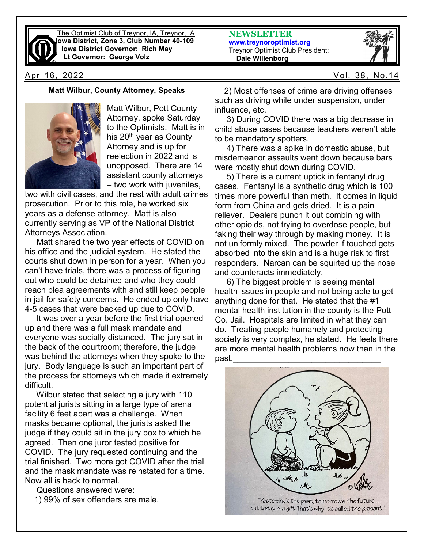

The Optimist Club of Treynor, IA, Treynor, IA **Iowa District, Zone 3, Club Number 40-109 Iowa District Governor: Rich May Lt Governor: George Volz**

**NEWSLETTER [www.treynoroptimist.org](http://www.treynoroptimist.org/)** Treynor Optimist Club President:  **Dale Willenborg**



#### **Matt Wilbur, County Attorney, Speaks**



Matt Wilbur, Pott County Attorney, spoke Saturday to the Optimists. Matt is in his 20<sup>th</sup> year as County Attorney and is up for reelection in 2022 and is unopposed. There are 14 assistant county attorneys – two work with juveniles,

two with civil cases, and the rest with adult crimes prosecution. Prior to this role, he worked six years as a defense attorney. Matt is also currently serving as VP of the National District Attorneys Association.

 Matt shared the two year effects of COVID on his office and the judicial system. He stated the courts shut down in person for a year. When you can't have trials, there was a process of figuring out who could be detained and who they could reach plea agreements with and still keep people in jail for safety concerns. He ended up only have 4-5 cases that were backed up due to COVID.

 It was over a year before the first trial opened up and there was a full mask mandate and everyone was socially distanced. The jury sat in the back of the courtroom; therefore, the judge was behind the attorneys when they spoke to the jury. Body language is such an important part of the process for attorneys which made it extremely difficult.

 Wilbur stated that selecting a jury with 110 potential jurists sitting in a large type of arena facility 6 feet apart was a challenge. When masks became optional, the jurists asked the judge if they could sit in the jury box to which he agreed. Then one juror tested positive for COVID. The jury requested continuing and the trial finished. Two more got COVID after the trial and the mask mandate was reinstated for a time. Now all is back to normal.

Questions answered were:

1) 99% of sex offenders are male.

 2) Most offenses of crime are driving offenses such as driving while under suspension, under influence, etc.

 3) During COVID there was a big decrease in child abuse cases because teachers weren't able to be mandatory spotters.

 4) There was a spike in domestic abuse, but misdemeanor assaults went down because bars were mostly shut down during COVID.

 5) There is a current uptick in fentanyl drug cases. Fentanyl is a synthetic drug which is 100 times more powerful than meth. It comes in liquid form from China and gets dried. It is a pain reliever. Dealers punch it out combining with other opioids, not trying to overdose people, but faking their way through by making money. It is not uniformly mixed. The powder if touched gets absorbed into the skin and is a huge risk to first responders. Narcan can be squirted up the nose and counteracts immediately.

 6) The biggest problem is seeing mental health issues in people and not being able to get anything done for that. He stated that the #1 mental health institution in the county is the Pott Co. Jail. Hospitals are limited in what they can do. Treating people humanely and protecting society is very complex, he stated. He feels there are more mental health problems now than in the past.**\_\_\_\_\_\_\_\_\_\_\_\_\_\_\_\_\_\_\_\_\_\_\_\_\_\_\_\_\_\_\_\_**

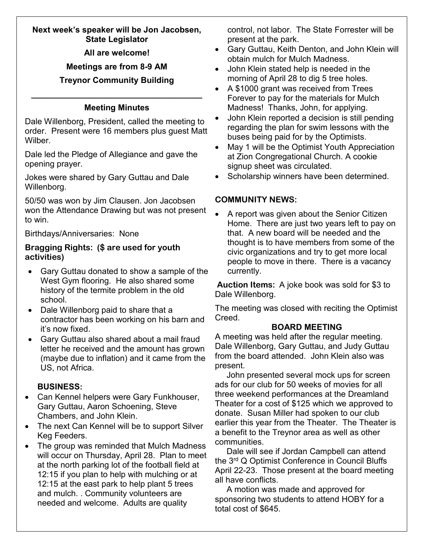## **Next week's speaker will be Jon Jacobsen, State Legislator**

**All are welcome!**

# **Meetings are from 8-9 AM**

# **Treynor Community Building**

# **\_\_\_\_\_\_\_\_\_\_\_\_\_\_\_\_\_\_\_\_\_\_\_\_\_\_\_\_\_\_\_\_\_\_\_\_\_ Meeting Minutes**

Dale Willenborg, President, called the meeting to order. Present were 16 members plus guest Matt Wilber.

Dale led the Pledge of Allegiance and gave the opening prayer.

Jokes were shared by Gary Guttau and Dale Willenborg.

50/50 was won by Jim Clausen. Jon Jacobsen won the Attendance Drawing but was not present to win.

Birthdays/Anniversaries: None

## **Bragging Rights: (\$ are used for youth activities)**

- Gary Guttau donated to show a sample of the West Gym flooring. He also shared some history of the termite problem in the old school.
- Dale Willenborg paid to share that a contractor has been working on his barn and it's now fixed.
- Gary Guttau also shared about a mail fraud letter he received and the amount has grown (maybe due to inflation) and it came from the US, not Africa.

# **BUSINESS:**

- Can Kennel helpers were Gary Funkhouser, Gary Guttau, Aaron Schoening, Steve Chambers, and John Klein.
- The next Can Kennel will be to support Silver Keg Feeders.
- The group was reminded that Mulch Madness will occur on Thursday, April 28. Plan to meet at the north parking lot of the football field at 12:15 if you plan to help with mulching or at 12:15 at the east park to help plant 5 trees and mulch. . Community volunteers are needed and welcome. Adults are quality

control, not labor. The State Forrester will be present at the park.

- Gary Guttau, Keith Denton, and John Klein will obtain mulch for Mulch Madness.
- John Klein stated help is needed in the morning of April 28 to dig 5 tree holes.
- A \$1000 grant was received from Trees Forever to pay for the materials for Mulch Madness! Thanks, John, for applying.
- John Klein reported a decision is still pending regarding the plan for swim lessons with the buses being paid for by the Optimists.
- May 1 will be the Optimist Youth Appreciation at Zion Congregational Church. A cookie signup sheet was circulated.
- Scholarship winners have been determined.

# **COMMUNITY NEWS:**

• A report was given about the Senior Citizen Home. There are just two years left to pay on that. A new board will be needed and the thought is to have members from some of the civic organizations and try to get more local people to move in there. There is a vacancy currently.

**Auction Items:** A joke book was sold for \$3 to Dale Willenborg.

The meeting was closed with reciting the Optimist Creed.

# **BOARD MEETING**

A meeting was held after the regular meeting. Dale Willenborg, Gary Guttau, and Judy Guttau from the board attended. John Klein also was present.

 John presented several mock ups for screen ads for our club for 50 weeks of movies for all three weekend performances at the Dreamland Theater for a cost of \$125 which we approved to donate. Susan Miller had spoken to our club earlier this year from the Theater. The Theater is a benefit to the Treynor area as well as other communities.

 Dale will see if Jordan Campbell can attend the 3rd Q Optimist Conference in Council Bluffs April 22-23. Those present at the board meeting all have conflicts.

 A motion was made and approved for sponsoring two students to attend HOBY for a total cost of \$645.